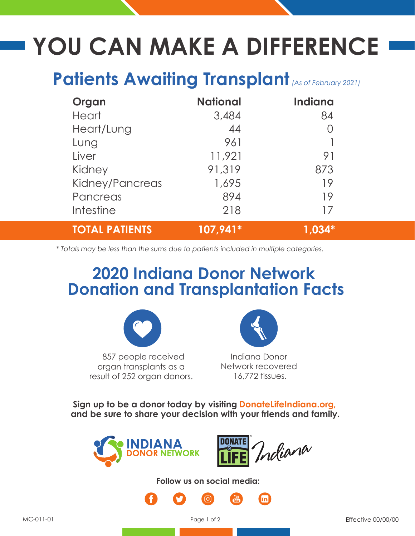## **YOU CAN MAKE A DIFFERENCE**

## Patients Awaiting Transplant (As of February 2021)

| Organ                 | <b>National</b> | <b>Indiana</b> |
|-----------------------|-----------------|----------------|
| <b>Heart</b>          | 3,484           | 84             |
| Heart/Lung            | 44              |                |
| Lung                  | 961             |                |
| Liver                 | 11,921          | 91             |
| Kidney                | 91,319          | 873            |
| Kidney/Pancreas       | 1,695           | 19             |
| Pancreas              | 894             | 19             |
| Intestine             | 218             | 17             |
| <b>TOTAL PATIENTS</b> | $107,941*$      |                |

*\* Totals may be less than the sums due to patients included in multiple categories.*

## **2020 Indiana Donor Network Donation and Transplantation Facts**



 857 people received organ transplants as a result of 252 organ donors.



Indiana Donor Network recovered 16,772 tissues.

**Sign up to be a donor today by visiting DonateLifeIndiana.org, and be sure to share your decision with your friends and family.**





**Follow us on social media:**